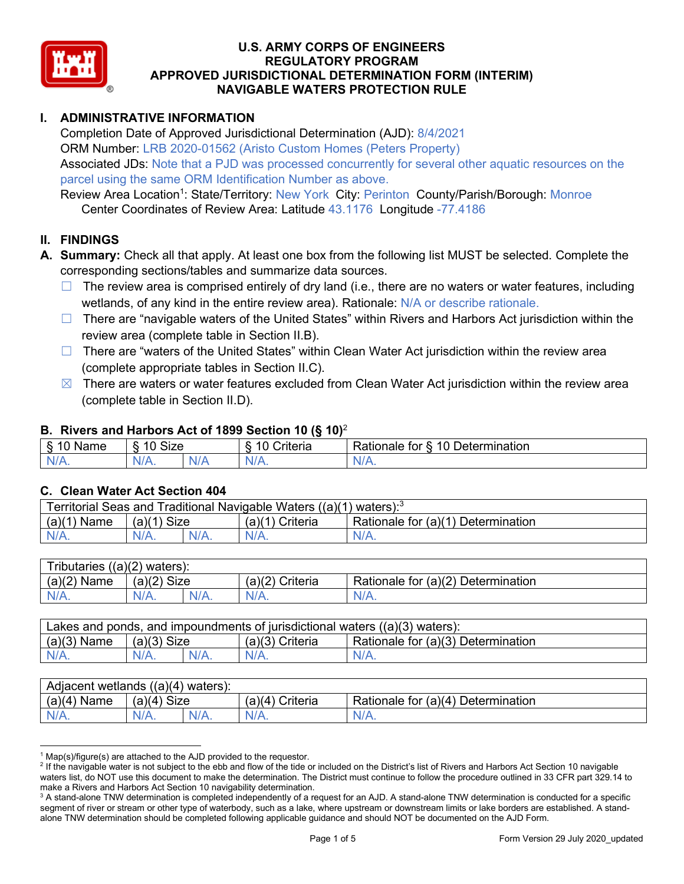

## **I. ADMINISTRATIVE INFORMATION**

Completion Date of Approved Jurisdictional Determination (AJD): 8/4/2021 ORM Number: LRB 2020-01562 (Aristo Custom Homes (Peters Property) Associated JDs: Note that a PJD was processed concurrently for several other aquatic resources on the parcel using the same ORM Identification Number as above.

Review Area Location<sup>1</sup>: State/Territory: New York City: Perinton County/Parish/Borough: Monroe Center Coordinates of Review Area: Latitude 43.1176 Longitude -77.4186

## **II. FINDINGS**

- **A. Summary:** Check all that apply. At least one box from the following list MUST be selected. Complete the corresponding sections/tables and summarize data sources.
	- $\Box$  The review area is comprised entirely of dry land (i.e., there are no waters or water features, including wetlands, of any kind in the entire review area). Rationale: N/A or describe rationale.
	- □ There are "navigable waters of the United States" within Rivers and Harbors Act jurisdiction within the review area (complete table in Section II.B).
	- $\Box$  There are "waters of the United States" within Clean Water Act jurisdiction within the review area (complete appropriate tables in Section II.C).
	- $\boxtimes$  There are waters or water features excluded from Clean Water Act jurisdiction within the review area (complete table in Section II.D).

#### **B. Rivers and Harbors Act of 1899 Section 10 (§ 10)**<sup>2</sup>

| $\sim$<br>Name | $\sim$<br>$\overline{a}$<br>SIZE<br>$\overline{\phantom{a}}$ | $\sim$ $\sim$<br>Criteria | $\overline{\phantom{0}}$<br>10<br>Jetermination<br>tor<br>∢ationale |
|----------------|--------------------------------------------------------------|---------------------------|---------------------------------------------------------------------|
| N<br>.         | $N/A$ .                                                      | N/r<br>11 L               | 11 I V.                                                             |

## **C. Clean Water Act Section 404**

| Traditional Navigable Waters ((a)(1) waters): <sup>3</sup><br>Territorial Seas and |                       |         |                    |                                             |  |  |
|------------------------------------------------------------------------------------|-----------------------|---------|--------------------|---------------------------------------------|--|--|
| (a)(1)<br>Name                                                                     | <b>Size</b><br>(a)(1) |         | Criteria<br>(a)(1) | Rationale for $(a)(1)$ D<br>Ⅰ Determination |  |  |
| $N/A$ .                                                                            | $N/A$ .               | $N/A$ . |                    | $N/A$ .                                     |  |  |

| $((a)(2)$ waters):<br>Tributaries, |                |         |                    |                                    |  |  |
|------------------------------------|----------------|---------|--------------------|------------------------------------|--|--|
| (a)(2)<br>Name                     | (a)(2)<br>Size |         | (a)(2)<br>Criteria | Rationale for (a)(2) Determination |  |  |
| $N/A$ .                            | $N/A$ .        | $N/A$ . | $N/A$ .            | $N/A$ .                            |  |  |

| Lakes and ponds, and impoundments of jurisdictional waters $((a)(3)$ waters): |               |         |                   |                                    |  |  |
|-------------------------------------------------------------------------------|---------------|---------|-------------------|------------------------------------|--|--|
| $(a)(3)$ Name                                                                 | $(a)(3)$ Size |         | $(a)(3)$ Criteria | Rationale for (a)(3) Determination |  |  |
| $N/A$ .                                                                       | $N/A$ .       | $N/A$ . | $N/A$ .           | $N/A$ .                            |  |  |

| Adjacent wetlands $((a)(4)$ waters): |                       |         |                 |                                    |  |  |
|--------------------------------------|-----------------------|---------|-----------------|------------------------------------|--|--|
| $(a)(4)$ Name                        | (a)(4)<br><b>Size</b> |         | (a)(4) Criteria | Rationale for (a)(4) Determination |  |  |
| $N/A$ .                              |                       | $N/A$ . | $N/A$ .         | $N/A$ .                            |  |  |

 $1$  Map(s)/figure(s) are attached to the AJD provided to the requestor.

<sup>&</sup>lt;sup>2</sup> If the navigable water is not subject to the ebb and flow of the tide or included on the District's list of Rivers and Harbors Act Section 10 navigable waters list, do NOT use this document to make the determination. The District must continue to follow the procedure outlined in 33 CFR part 329.14 to make a Rivers and Harbors Act Section 10 navigability determination.

<sup>&</sup>lt;sup>3</sup> A stand-alone TNW determination is completed independently of a request for an AJD. A stand-alone TNW determination is conducted for a specific segment of river or stream or other type of waterbody, such as a lake, where upstream or downstream limits or lake borders are established. A standalone TNW determination should be completed following applicable guidance and should NOT be documented on the AJD Form.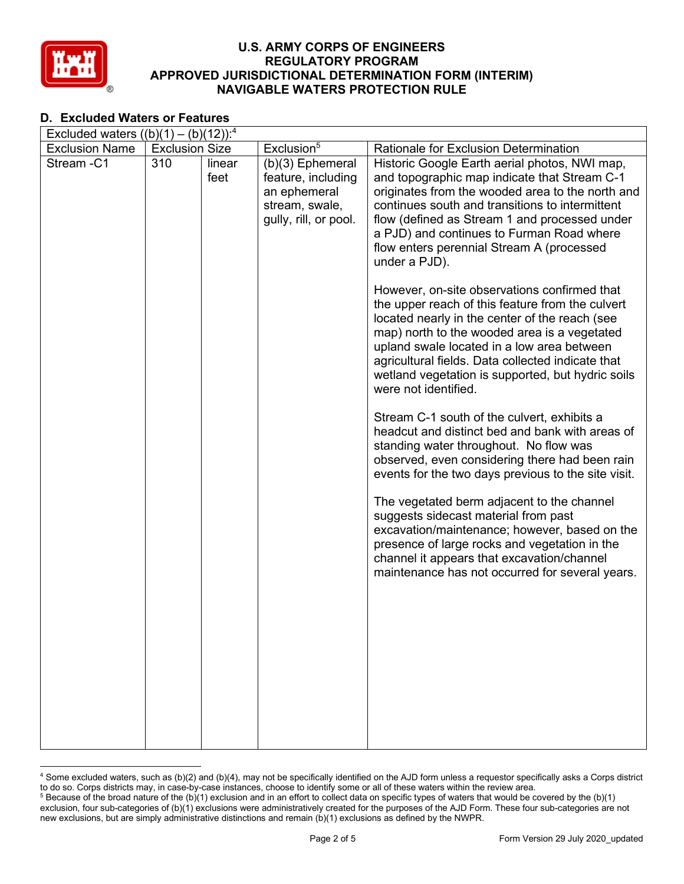

#### **D. Excluded Waters or Features**

| Excluded waters $((b)(1) - (b)(12))$ : <sup>4</sup> |                       |                |                                                                                                     |                                                                                                                                                                                                                                                                                                                                                                                    |  |  |  |
|-----------------------------------------------------|-----------------------|----------------|-----------------------------------------------------------------------------------------------------|------------------------------------------------------------------------------------------------------------------------------------------------------------------------------------------------------------------------------------------------------------------------------------------------------------------------------------------------------------------------------------|--|--|--|
| <b>Exclusion Name</b>                               | <b>Exclusion Size</b> |                | Exclusion <sup>5</sup>                                                                              | Rationale for Exclusion Determination                                                                                                                                                                                                                                                                                                                                              |  |  |  |
| Stream-C1                                           | 310                   | linear<br>feet | $(b)(3)$ Ephemeral<br>feature, including<br>an ephemeral<br>stream, swale,<br>gully, rill, or pool. | Historic Google Earth aerial photos, NWI map,<br>and topographic map indicate that Stream C-1<br>originates from the wooded area to the north and<br>continues south and transitions to intermittent<br>flow (defined as Stream 1 and processed under<br>a PJD) and continues to Furman Road where<br>flow enters perennial Stream A (processed<br>under a PJD).                   |  |  |  |
|                                                     |                       |                |                                                                                                     | However, on-site observations confirmed that<br>the upper reach of this feature from the culvert<br>located nearly in the center of the reach (see<br>map) north to the wooded area is a vegetated<br>upland swale located in a low area between<br>agricultural fields. Data collected indicate that<br>wetland vegetation is supported, but hydric soils<br>were not identified. |  |  |  |
|                                                     |                       |                |                                                                                                     | Stream C-1 south of the culvert, exhibits a<br>headcut and distinct bed and bank with areas of<br>standing water throughout. No flow was<br>observed, even considering there had been rain<br>events for the two days previous to the site visit.                                                                                                                                  |  |  |  |
|                                                     |                       |                |                                                                                                     | The vegetated berm adjacent to the channel<br>suggests sidecast material from past<br>excavation/maintenance; however, based on the<br>presence of large rocks and vegetation in the<br>channel it appears that excavation/channel<br>maintenance has not occurred for several years.                                                                                              |  |  |  |
|                                                     |                       |                |                                                                                                     |                                                                                                                                                                                                                                                                                                                                                                                    |  |  |  |
|                                                     |                       |                |                                                                                                     |                                                                                                                                                                                                                                                                                                                                                                                    |  |  |  |

<sup>4</sup> Some excluded waters, such as (b)(2) and (b)(4), may not be specifically identified on the AJD form unless a requestor specifically asks a Corps district to do so. Corps districts may, in case-by-case instances, choose to identify some or all of these waters within the review area.

 $5$  Because of the broad nature of the (b)(1) exclusion and in an effort to collect data on specific types of waters that would be covered by the (b)(1) exclusion, four sub-categories of (b)(1) exclusions were administratively created for the purposes of the AJD Form. These four sub-categories are not new exclusions, but are simply administrative distinctions and remain (b)(1) exclusions as defined by the NWPR.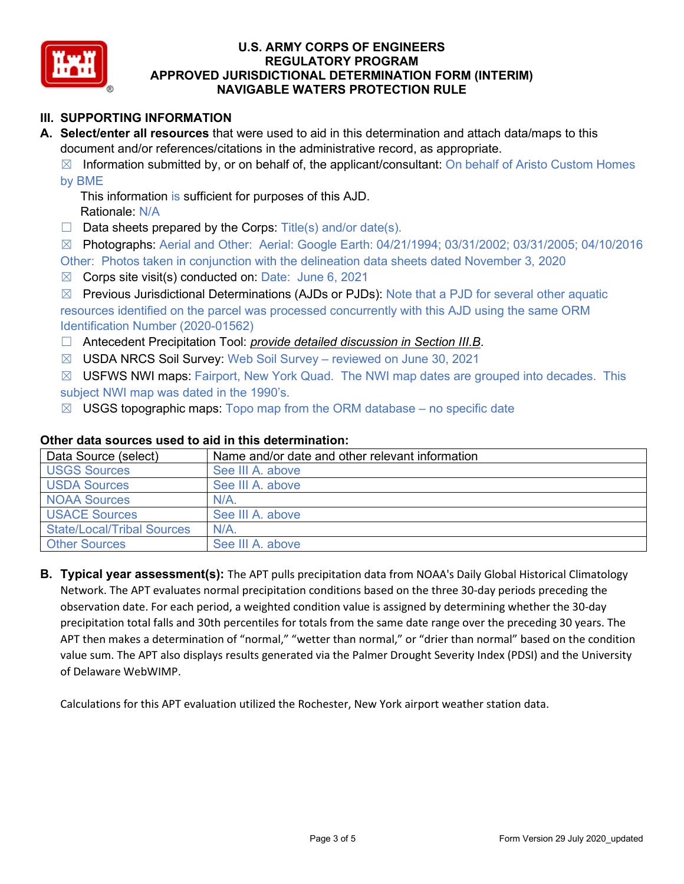

# **III. SUPPORTING INFORMATION**

**A. Select/enter all resources** that were used to aid in this determination and attach data/maps to this document and/or references/citations in the administrative record, as appropriate.

 $\boxtimes$  Information submitted by, or on behalf of, the applicant/consultant: On behalf of Aristo Custom Homes by BME

This information is sufficient for purposes of this AJD. Rationale: N/A

- $\Box$  Data sheets prepared by the Corps: Title(s) and/or date(s).
- ☒ Photographs: Aerial and Other: Aerial: Google Earth: 04/21/1994; 03/31/2002; 03/31/2005; 04/10/2016

Other: Photos taken in conjunction with the delineation data sheets dated November 3, 2020

- $\boxtimes$  Corps site visit(s) conducted on: Date: June 6, 2021
- $\boxtimes$  Previous Jurisdictional Determinations (AJDs or PJDs): Note that a PJD for several other aquatic resources identified on the parcel was processed concurrently with this AJD using the same ORM Identification Number (2020-01562)
- ☐ Antecedent Precipitation Tool: *provide detailed discussion in Section III.B*.
- ☒ USDA NRCS Soil Survey: Web Soil Survey reviewed on June 30, 2021
- $\boxtimes$  USFWS NWI maps: Fairport, New York Quad. The NWI map dates are grouped into decades. This subject NWI map was dated in the 1990's.
- $\boxtimes$  USGS topographic maps: Topo map from the ORM database no specific date

# **Other data sources used to aid in this determination:**

| Data Source (select)              | Name and/or date and other relevant information |
|-----------------------------------|-------------------------------------------------|
| <b>USGS Sources</b>               | See III A. above                                |
| <b>USDA Sources</b>               | See III A. above                                |
| <b>NOAA Sources</b>               | $N/A$ .                                         |
| <b>USACE Sources</b>              | See III A, above                                |
| <b>State/Local/Tribal Sources</b> | N/A                                             |
| <b>Other Sources</b>              | See III A. above                                |

**B. Typical year assessment(s):** The APT pulls precipitation data from NOAA's Daily Global Historical Climatology Network. The APT evaluates normal precipitation conditions based on the three 30-day periods preceding the observation date. For each period, a weighted condition value is assigned by determining whether the 30-day precipitation total falls and 30th percentiles for totals from the same date range over the preceding 30 years. The APT then makes a determination of "normal," "wetter than normal," or "drier than normal" based on the condition value sum. The APT also displays results generated via the Palmer Drought Severity Index (PDSI) and the University of Delaware WebWIMP.

Calculations for this APT evaluation utilized the Rochester, New York airport weather station data.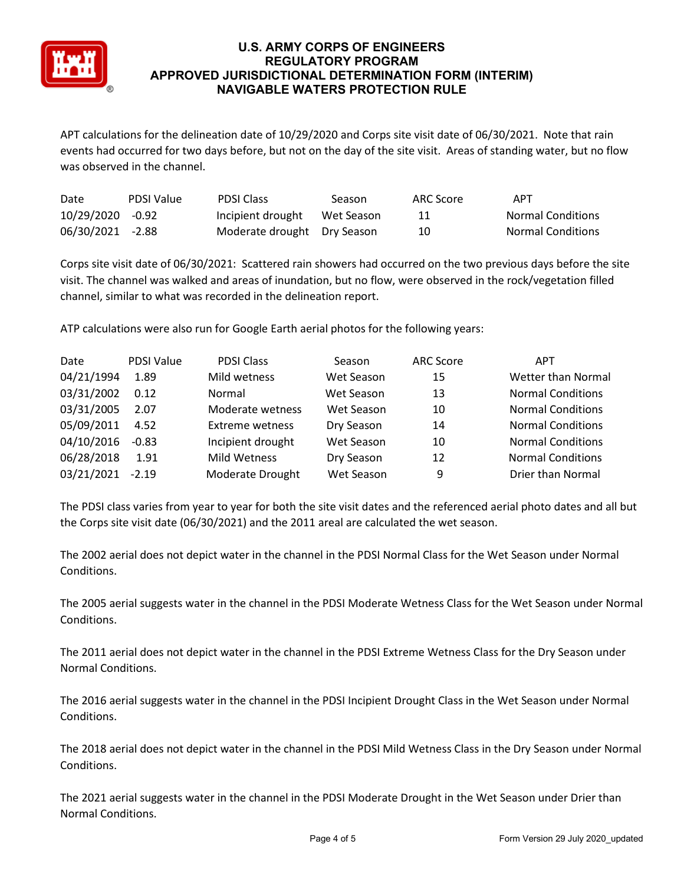

APT calculations for the delineation date of 10/29/2020 and Corps site visit date of 06/30/2021. Note that rain events had occurred for two days before, but not on the day of the site visit. Areas of standing water, but no flow was observed in the channel.

| Date             | <b>PDSI Value</b> | <b>PDSI Class</b>           | Season     | ARC Score | APT                      |
|------------------|-------------------|-----------------------------|------------|-----------|--------------------------|
| 10/29/2020 -0.92 |                   | Incipient drought           | Wet Season |           | <b>Normal Conditions</b> |
| 06/30/2021 -2.88 |                   | Moderate drought Dry Season |            | 10        | <b>Normal Conditions</b> |

Corps site visit date of 06/30/2021: Scattered rain showers had occurred on the two previous days before the site visit. The channel was walked and areas of inundation, but no flow, were observed in the rock/vegetation filled channel, similar to what was recorded in the delineation report.

ATP calculations were also run for Google Earth aerial photos for the following years:

| Date       | <b>PDSI Value</b> | <b>PDSI Class</b>      | Season     | <b>ARC Score</b> | <b>APT</b>               |
|------------|-------------------|------------------------|------------|------------------|--------------------------|
| 04/21/1994 | 1.89              | Mild wetness           | Wet Season | 15               | Wetter than Normal       |
| 03/31/2002 | 0.12              | Normal                 | Wet Season | 13               | <b>Normal Conditions</b> |
| 03/31/2005 | 2.07              | Moderate wetness       | Wet Season | 10               | <b>Normal Conditions</b> |
| 05/09/2011 | 4.52              | <b>Extreme wetness</b> | Dry Season | 14               | <b>Normal Conditions</b> |
| 04/10/2016 | $-0.83$           | Incipient drought      | Wet Season | 10               | <b>Normal Conditions</b> |
| 06/28/2018 | 1.91              | Mild Wetness           | Dry Season | 12               | <b>Normal Conditions</b> |
| 03/21/2021 | $-2.19$           | Moderate Drought       | Wet Season | 9                | Drier than Normal        |

The PDSI class varies from year to year for both the site visit dates and the referenced aerial photo dates and all but the Corps site visit date (06/30/2021) and the 2011 areal are calculated the wet season.

The 2002 aerial does not depict water in the channel in the PDSI Normal Class for the Wet Season under Normal Conditions.

The 2005 aerial suggests water in the channel in the PDSI Moderate Wetness Class for the Wet Season under Normal Conditions.

The 2011 aerial does not depict water in the channel in the PDSI Extreme Wetness Class for the Dry Season under Normal Conditions.

The 2016 aerial suggests water in the channel in the PDSI Incipient Drought Class in the Wet Season under Normal Conditions.

The 2018 aerial does not depict water in the channel in the PDSI Mild Wetness Class in the Dry Season under Normal Conditions.

The 2021 aerial suggests water in the channel in the PDSI Moderate Drought in the Wet Season under Drier than Normal Conditions.